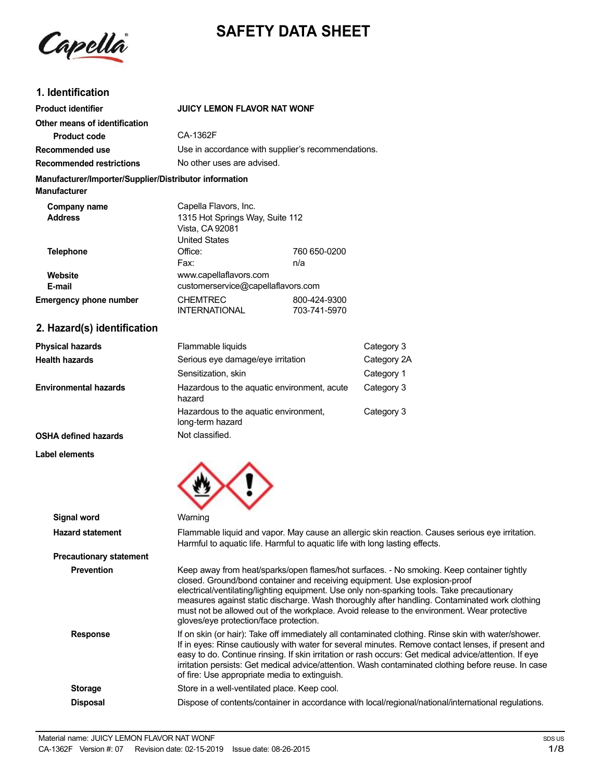

# **SAFETY DATA SHEET**

# **1. Identification**

| <b>Product identifier</b>                                                                                                                                                                                                                                                      | <b>JUICY LEMON FLAVOR NAT WONF</b>                                                                  |                                                    |
|--------------------------------------------------------------------------------------------------------------------------------------------------------------------------------------------------------------------------------------------------------------------------------|-----------------------------------------------------------------------------------------------------|----------------------------------------------------|
| Other means of identification                                                                                                                                                                                                                                                  |                                                                                                     |                                                    |
| <b>Product code</b>                                                                                                                                                                                                                                                            | CA-1362F                                                                                            |                                                    |
| Recommended use                                                                                                                                                                                                                                                                |                                                                                                     | Use in accordance with supplier's recommendations. |
| <b>Recommended restrictions</b>                                                                                                                                                                                                                                                | No other uses are advised.                                                                          |                                                    |
| Manufacturer/Importer/Supplier/Distributor information<br><b>Manufacturer</b>                                                                                                                                                                                                  |                                                                                                     |                                                    |
| Company name<br><b>Address</b>                                                                                                                                                                                                                                                 | Capella Flavors, Inc.<br>1315 Hot Springs Way, Suite 112<br>Vista, CA 92081<br><b>United States</b> |                                                    |
| Telephone                                                                                                                                                                                                                                                                      | Office:<br>Fax:                                                                                     | 760 650-0200<br>n/a                                |
| Website<br>E-mail                                                                                                                                                                                                                                                              | www.capellaflavors.com<br>customerservice@capellaflavors.com                                        |                                                    |
| <b>Emergency phone number</b>                                                                                                                                                                                                                                                  | <b>CHEMTREC</b><br><b>INTERNATIONAL</b>                                                             | 800-424-9300<br>703-741-5970                       |
| $\sim$ 11. $\sim$ 11. $\sim$ 11. $\sim$ 12. $\sim$ 12. $\sim$ 12. $\sim$ 12. $\sim$ 12. $\sim$ 12. $\sim$ 12. $\sim$ 12. $\sim$ 12. $\sim$ 12. $\sim$ 12. $\sim$ 12. $\sim$ 12. $\sim$ 12. $\sim$ 12. $\sim$ 12. $\sim$ 12. $\sim$ 12. $\sim$ 12. $\sim$ 12. $\sim$ 12. $\sim$ |                                                                                                     |                                                    |

#### **2. Hazard(s) identification**

| <b>Physical hazards</b>      | Flammable liquids                                         | Category 3  |
|------------------------------|-----------------------------------------------------------|-------------|
| <b>Health hazards</b>        | Serious eye damage/eye irritation                         | Category 2A |
|                              | Sensitization, skin                                       | Category 1  |
| <b>Environmental hazards</b> | Hazardous to the aquatic environment, acute<br>hazard     | Category 3  |
|                              | Hazardous to the aquatic environment,<br>long-term hazard | Category 3  |
| <b>OSHA defined hazards</b>  | Not classified.                                           |             |

#### **Label elements**

| <b>Signal word</b>             | Warning                                                                                                                                                                                                                                                                                                                                                                                                                                                                                                         |
|--------------------------------|-----------------------------------------------------------------------------------------------------------------------------------------------------------------------------------------------------------------------------------------------------------------------------------------------------------------------------------------------------------------------------------------------------------------------------------------------------------------------------------------------------------------|
| <b>Hazard statement</b>        | Flammable liquid and vapor. May cause an allergic skin reaction. Causes serious eye irritation.<br>Harmful to aquatic life. Harmful to aquatic life with long lasting effects.                                                                                                                                                                                                                                                                                                                                  |
| <b>Precautionary statement</b> |                                                                                                                                                                                                                                                                                                                                                                                                                                                                                                                 |
| <b>Prevention</b>              | Keep away from heat/sparks/open flames/hot surfaces. - No smoking. Keep container tightly<br>closed. Ground/bond container and receiving equipment. Use explosion-proof<br>electrical/ventilating/lighting equipment. Use only non-sparking tools. Take precautionary<br>measures against static discharge. Wash thoroughly after handling. Contaminated work clothing<br>must not be allowed out of the workplace. Avoid release to the environment. Wear protective<br>gloves/eye protection/face protection. |
| <b>Response</b>                | If on skin (or hair): Take off immediately all contaminated clothing. Rinse skin with water/shower.<br>If in eyes: Rinse cautiously with water for several minutes. Remove contact lenses, if present and<br>easy to do. Continue rinsing. If skin irritation or rash occurs: Get medical advice/attention. If eye<br>irritation persists: Get medical advice/attention. Wash contaminated clothing before reuse. In case<br>of fire: Use appropriate media to extinguish.                                      |
| <b>Storage</b>                 | Store in a well-ventilated place. Keep cool.                                                                                                                                                                                                                                                                                                                                                                                                                                                                    |
| <b>Disposal</b>                | Dispose of contents/container in accordance with local/regional/national/international regulations.                                                                                                                                                                                                                                                                                                                                                                                                             |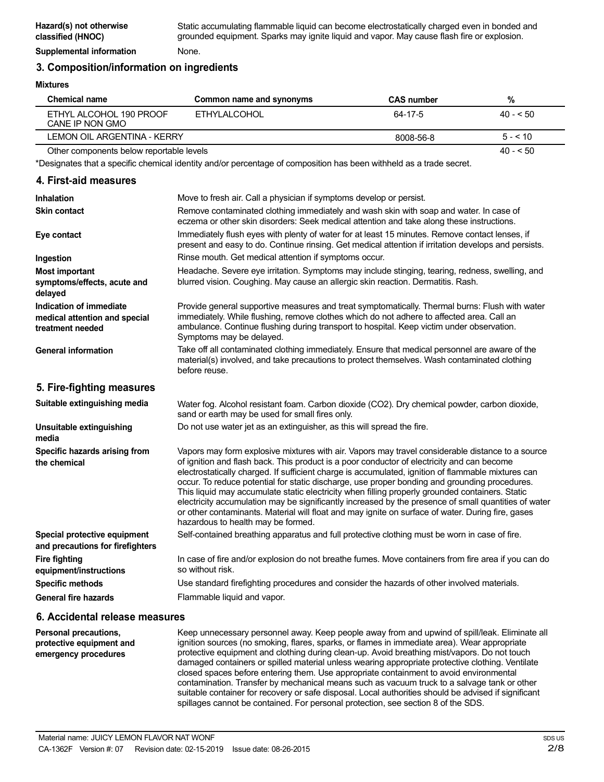## **3. Composition/information on ingredients**

#### **Mixtures**

| Chemical name                              | Common name and synonyms | <b>CAS number</b> | %         |
|--------------------------------------------|--------------------------|-------------------|-----------|
| ETHYL ALCOHOL 190 PROOF<br>CANE IP NON GMO | FTHYLAI COHOL            | 64-17-5           | $40 - 50$ |
| LEMON OIL ARGENTINA - KERRY                |                          | 8008-56-8         | $5 - 10$  |
| Other components below reportable levels   |                          |                   | $40 - 50$ |

Other components below reportable levels

\*Designates that a specific chemical identity and/or percentage of composition has been withheld as a trade secret.

### **4. First-aid measures**

| <b>Inhalation</b>                                                            | Move to fresh air. Call a physician if symptoms develop or persist.                                                                                                                                                                                                                                                                                                                                                                                                                                                                                                                                                                                                                                                                                         |
|------------------------------------------------------------------------------|-------------------------------------------------------------------------------------------------------------------------------------------------------------------------------------------------------------------------------------------------------------------------------------------------------------------------------------------------------------------------------------------------------------------------------------------------------------------------------------------------------------------------------------------------------------------------------------------------------------------------------------------------------------------------------------------------------------------------------------------------------------|
| <b>Skin contact</b>                                                          | Remove contaminated clothing immediately and wash skin with soap and water. In case of<br>eczema or other skin disorders: Seek medical attention and take along these instructions.                                                                                                                                                                                                                                                                                                                                                                                                                                                                                                                                                                         |
| Eye contact                                                                  | Immediately flush eyes with plenty of water for at least 15 minutes. Remove contact lenses, if<br>present and easy to do. Continue rinsing. Get medical attention if irritation develops and persists.                                                                                                                                                                                                                                                                                                                                                                                                                                                                                                                                                      |
| Ingestion                                                                    | Rinse mouth. Get medical attention if symptoms occur.                                                                                                                                                                                                                                                                                                                                                                                                                                                                                                                                                                                                                                                                                                       |
| <b>Most important</b><br>symptoms/effects, acute and<br>delayed              | Headache. Severe eye irritation. Symptoms may include stinging, tearing, redness, swelling, and<br>blurred vision. Coughing. May cause an allergic skin reaction. Dermatitis. Rash.                                                                                                                                                                                                                                                                                                                                                                                                                                                                                                                                                                         |
| Indication of immediate<br>medical attention and special<br>treatment needed | Provide general supportive measures and treat symptomatically. Thermal burns: Flush with water<br>immediately. While flushing, remove clothes which do not adhere to affected area. Call an<br>ambulance. Continue flushing during transport to hospital. Keep victim under observation.<br>Symptoms may be delayed.                                                                                                                                                                                                                                                                                                                                                                                                                                        |
| <b>General information</b>                                                   | Take off all contaminated clothing immediately. Ensure that medical personnel are aware of the<br>material(s) involved, and take precautions to protect themselves. Wash contaminated clothing<br>before reuse.                                                                                                                                                                                                                                                                                                                                                                                                                                                                                                                                             |
| 5. Fire-fighting measures                                                    |                                                                                                                                                                                                                                                                                                                                                                                                                                                                                                                                                                                                                                                                                                                                                             |
| Suitable extinguishing media                                                 | Water fog. Alcohol resistant foam. Carbon dioxide (CO2). Dry chemical powder, carbon dioxide,<br>sand or earth may be used for small fires only.                                                                                                                                                                                                                                                                                                                                                                                                                                                                                                                                                                                                            |
| Unsuitable extinguishing<br>media                                            | Do not use water jet as an extinguisher, as this will spread the fire.                                                                                                                                                                                                                                                                                                                                                                                                                                                                                                                                                                                                                                                                                      |
| Specific hazards arising from<br>the chemical                                | Vapors may form explosive mixtures with air. Vapors may travel considerable distance to a source<br>of ignition and flash back. This product is a poor conductor of electricity and can become<br>electrostatically charged. If sufficient charge is accumulated, ignition of flammable mixtures can<br>occur. To reduce potential for static discharge, use proper bonding and grounding procedures.<br>This liquid may accumulate static electricity when filling properly grounded containers. Static<br>electricity accumulation may be significantly increased by the presence of small quantities of water<br>or other contaminants. Material will float and may ignite on surface of water. During fire, gases<br>hazardous to health may be formed. |
| Special protective equipment<br>and precautions for firefighters             | Self-contained breathing apparatus and full protective clothing must be worn in case of fire.                                                                                                                                                                                                                                                                                                                                                                                                                                                                                                                                                                                                                                                               |
| <b>Fire fighting</b><br>equipment/instructions                               | In case of fire and/or explosion do not breathe fumes. Move containers from fire area if you can do<br>so without risk.                                                                                                                                                                                                                                                                                                                                                                                                                                                                                                                                                                                                                                     |
| <b>Specific methods</b>                                                      | Use standard firefighting procedures and consider the hazards of other involved materials.                                                                                                                                                                                                                                                                                                                                                                                                                                                                                                                                                                                                                                                                  |
| <b>General fire hazards</b>                                                  | Flammable liquid and vapor.                                                                                                                                                                                                                                                                                                                                                                                                                                                                                                                                                                                                                                                                                                                                 |

### **6. Accidental release measures**

**Personal precautions, protective equipment and emergency procedures** Keep unnecessary personnel away. Keep people away from and upwind of spill/leak. Eliminate all ignition sources (no smoking, flares, sparks, or flames in immediate area). Wear appropriate protective equipment and clothing during clean-up. Avoid breathing mist/vapors. Do not touch damaged containers or spilled material unless wearing appropriate protective clothing. Ventilate closed spaces before entering them. Use appropriate containment to avoid environmental contamination. Transfer by mechanical means such as vacuum truck to a salvage tank or other suitable container for recovery or safe disposal. Local authorities should be advised if significant spillages cannot be contained. For personal protection, see section 8 of the SDS.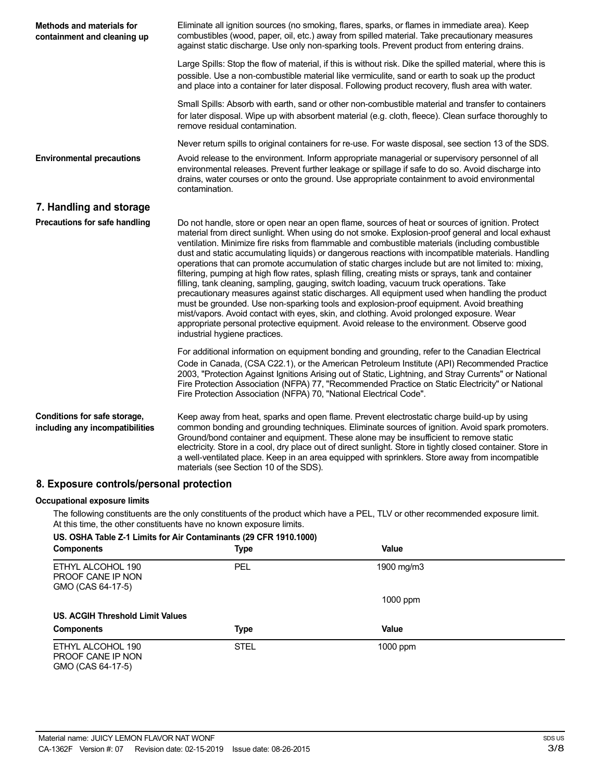| <b>Methods and materials for</b><br>containment and cleaning up | Eliminate all ignition sources (no smoking, flares, sparks, or flames in immediate area). Keep<br>combustibles (wood, paper, oil, etc.) away from spilled material. Take precautionary measures<br>against static discharge. Use only non-sparking tools. Prevent product from entering drains.                                                                                                                                                                                                                                                                                                                                                                                                                                                                                                                                                                                                                                                                                                                                                                                                                                                 |
|-----------------------------------------------------------------|-------------------------------------------------------------------------------------------------------------------------------------------------------------------------------------------------------------------------------------------------------------------------------------------------------------------------------------------------------------------------------------------------------------------------------------------------------------------------------------------------------------------------------------------------------------------------------------------------------------------------------------------------------------------------------------------------------------------------------------------------------------------------------------------------------------------------------------------------------------------------------------------------------------------------------------------------------------------------------------------------------------------------------------------------------------------------------------------------------------------------------------------------|
|                                                                 | Large Spills: Stop the flow of material, if this is without risk. Dike the spilled material, where this is<br>possible. Use a non-combustible material like vermiculite, sand or earth to soak up the product<br>and place into a container for later disposal. Following product recovery, flush area with water.                                                                                                                                                                                                                                                                                                                                                                                                                                                                                                                                                                                                                                                                                                                                                                                                                              |
|                                                                 | Small Spills: Absorb with earth, sand or other non-combustible material and transfer to containers<br>for later disposal. Wipe up with absorbent material (e.g. cloth, fleece). Clean surface thoroughly to<br>remove residual contamination.                                                                                                                                                                                                                                                                                                                                                                                                                                                                                                                                                                                                                                                                                                                                                                                                                                                                                                   |
|                                                                 | Never return spills to original containers for re-use. For waste disposal, see section 13 of the SDS.                                                                                                                                                                                                                                                                                                                                                                                                                                                                                                                                                                                                                                                                                                                                                                                                                                                                                                                                                                                                                                           |
| <b>Environmental precautions</b>                                | Avoid release to the environment. Inform appropriate managerial or supervisory personnel of all<br>environmental releases. Prevent further leakage or spillage if safe to do so. Avoid discharge into<br>drains, water courses or onto the ground. Use appropriate containment to avoid environmental<br>contamination.                                                                                                                                                                                                                                                                                                                                                                                                                                                                                                                                                                                                                                                                                                                                                                                                                         |
| 7. Handling and storage                                         |                                                                                                                                                                                                                                                                                                                                                                                                                                                                                                                                                                                                                                                                                                                                                                                                                                                                                                                                                                                                                                                                                                                                                 |
| Precautions for safe handling                                   | Do not handle, store or open near an open flame, sources of heat or sources of ignition. Protect<br>material from direct sunlight. When using do not smoke. Explosion-proof general and local exhaust<br>ventilation. Minimize fire risks from flammable and combustible materials (including combustible<br>dust and static accumulating liquids) or dangerous reactions with incompatible materials. Handling<br>operations that can promote accumulation of static charges include but are not limited to: mixing,<br>filtering, pumping at high flow rates, splash filling, creating mists or sprays, tank and container<br>filling, tank cleaning, sampling, gauging, switch loading, vacuum truck operations. Take<br>precautionary measures against static discharges. All equipment used when handling the product<br>must be grounded. Use non-sparking tools and explosion-proof equipment. Avoid breathing<br>mist/vapors. Avoid contact with eyes, skin, and clothing. Avoid prolonged exposure. Wear<br>appropriate personal protective equipment. Avoid release to the environment. Observe good<br>industrial hygiene practices. |
|                                                                 | For additional information on equipment bonding and grounding, refer to the Canadian Electrical<br>Code in Canada, (CSA C22.1), or the American Petroleum Institute (API) Recommended Practice<br>2003, "Protection Against Ignitions Arising out of Static, Lightning, and Stray Currents" or National<br>Fire Protection Association (NFPA) 77, "Recommended Practice on Static Electricity" or National<br>Fire Protection Association (NFPA) 70, "National Electrical Code".                                                                                                                                                                                                                                                                                                                                                                                                                                                                                                                                                                                                                                                                |
| Conditions for safe storage,<br>including any incompatibilities | Keep away from heat, sparks and open flame. Prevent electrostatic charge build-up by using<br>common bonding and grounding techniques. Eliminate sources of ignition. Avoid spark promoters.<br>Ground/bond container and equipment. These alone may be insufficient to remove static<br>electricity. Store in a cool, dry place out of direct sunlight. Store in tightly closed container. Store in<br>a well-ventilated place. Keep in an area equipped with sprinklers. Store away from incompatible<br>materials (see Section 10 of the SDS).                                                                                                                                                                                                                                                                                                                                                                                                                                                                                                                                                                                               |

# **8. Exposure controls/personal protection**

#### **Occupational exposure limits**

The following constituents are the only constituents of the product which have a PEL, TLV or other recommended exposure limit. At this time, the other constituents have no known exposure limits.

## **US. OSHA Table Z-1 Limits for Air Contaminants (29 CFR 1910.1000)**

| <b>Components</b>                                           | Type        | Value      |  |
|-------------------------------------------------------------|-------------|------------|--|
| ETHYL ALCOHOL 190<br>PROOF CANE IP NON<br>GMO (CAS 64-17-5) | <b>PEL</b>  | 1900 mg/m3 |  |
|                                                             |             | $1000$ ppm |  |
| <b>US. ACGIH Threshold Limit Values</b>                     |             |            |  |
| <b>Components</b>                                           | Type        | Value      |  |
| ETHYL ALCOHOL 190<br>PROOF CANE IP NON<br>GMO (CAS 64-17-5) | <b>STEL</b> | 1000 ppm   |  |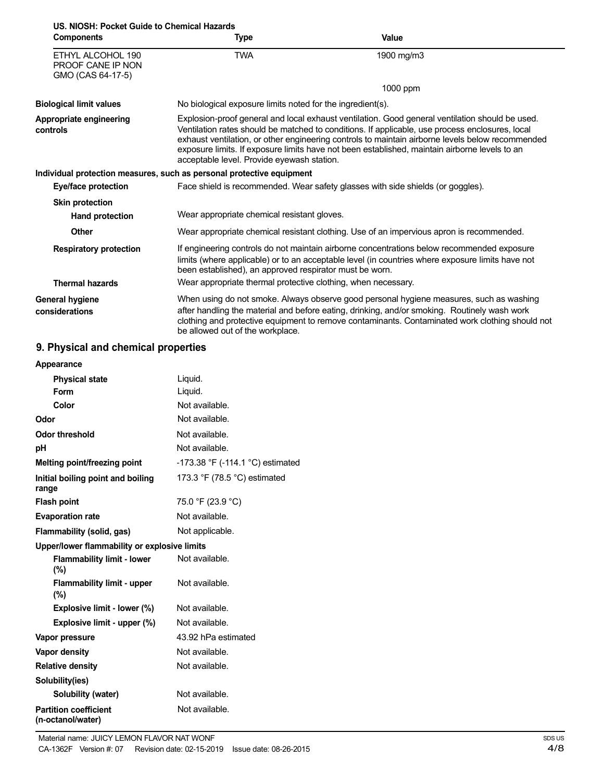| U.S. NIOSH: Pocket Guide to Chemical Hazards<br><b>Components</b>  | Type                                                                  | Value                                                                                                                                                                                                                                                                                                                                                                                                   |
|--------------------------------------------------------------------|-----------------------------------------------------------------------|---------------------------------------------------------------------------------------------------------------------------------------------------------------------------------------------------------------------------------------------------------------------------------------------------------------------------------------------------------------------------------------------------------|
|                                                                    |                                                                       |                                                                                                                                                                                                                                                                                                                                                                                                         |
| ETHYL ALCOHOL 190<br><b>PROOF CANE IP NON</b><br>GMO (CAS 64-17-5) | <b>TWA</b>                                                            | 1900 mg/m3                                                                                                                                                                                                                                                                                                                                                                                              |
|                                                                    |                                                                       | 1000 ppm                                                                                                                                                                                                                                                                                                                                                                                                |
| <b>Biological limit values</b>                                     | No biological exposure limits noted for the ingredient(s).            |                                                                                                                                                                                                                                                                                                                                                                                                         |
| Appropriate engineering<br>controls                                | acceptable level. Provide eyewash station.                            | Explosion-proof general and local exhaust ventilation. Good general ventilation should be used.<br>Ventilation rates should be matched to conditions. If applicable, use process enclosures, local<br>exhaust ventilation, or other engineering controls to maintain airborne levels below recommended<br>exposure limits. If exposure limits have not been established, maintain airborne levels to an |
|                                                                    | Individual protection measures, such as personal protective equipment |                                                                                                                                                                                                                                                                                                                                                                                                         |
| Eye/face protection                                                |                                                                       | Face shield is recommended. Wear safety glasses with side shields (or goggles).                                                                                                                                                                                                                                                                                                                         |
| <b>Skin protection</b>                                             |                                                                       |                                                                                                                                                                                                                                                                                                                                                                                                         |
| <b>Hand protection</b>                                             | Wear appropriate chemical resistant gloves.                           |                                                                                                                                                                                                                                                                                                                                                                                                         |
| <b>Other</b>                                                       |                                                                       | Wear appropriate chemical resistant clothing. Use of an impervious apron is recommended.                                                                                                                                                                                                                                                                                                                |
| <b>Respiratory protection</b>                                      | been established), an approved respirator must be worn.               | If engineering controls do not maintain airborne concentrations below recommended exposure<br>limits (where applicable) or to an acceptable level (in countries where exposure limits have not                                                                                                                                                                                                          |
| <b>Thermal hazards</b>                                             | Wear appropriate thermal protective clothing, when necessary.         |                                                                                                                                                                                                                                                                                                                                                                                                         |
| <b>General hygiene</b><br>considerations                           | be allowed out of the workplace.                                      | When using do not smoke. Always observe good personal hygiene measures, such as washing<br>after handling the material and before eating, drinking, and/or smoking. Routinely wash work<br>clothing and protective equipment to remove contaminants. Contaminated work clothing should not                                                                                                              |

# **9. Physical and chemical properties**

| Appearance                                        |                                  |
|---------------------------------------------------|----------------------------------|
| <b>Physical state</b>                             | Liquid.                          |
| Form                                              | Liquid.                          |
| Color                                             | Not available.                   |
| Odor                                              | Not available.                   |
| <b>Odor threshold</b>                             | Not available.                   |
| рH                                                | Not available.                   |
| Melting point/freezing point                      | -173.38 °F (-114.1 °C) estimated |
| Initial boiling point and boiling<br>range        | 173.3 °F (78.5 °C) estimated     |
| <b>Flash point</b>                                | 75.0 °F (23.9 °C)                |
| <b>Evaporation rate</b>                           | Not available.                   |
| Flammability (solid, gas)                         | Not applicable.                  |
| Upper/lower flammability or explosive limits      |                                  |
| <b>Flammability limit - lower</b><br>$(\%)$       | Not available.                   |
| <b>Flammability limit - upper</b><br>(%)          | Not available.                   |
| Explosive limit - lower (%)                       | Not available.                   |
| Explosive limit - upper (%)                       | Not available.                   |
| Vapor pressure                                    | 43.92 hPa estimated              |
| Vapor density                                     | Not available.                   |
| <b>Relative density</b>                           | Not available.                   |
| Solubility(ies)                                   |                                  |
| Solubility (water)                                | Not available.                   |
| <b>Partition coefficient</b><br>(n-octanol/water) | Not available.                   |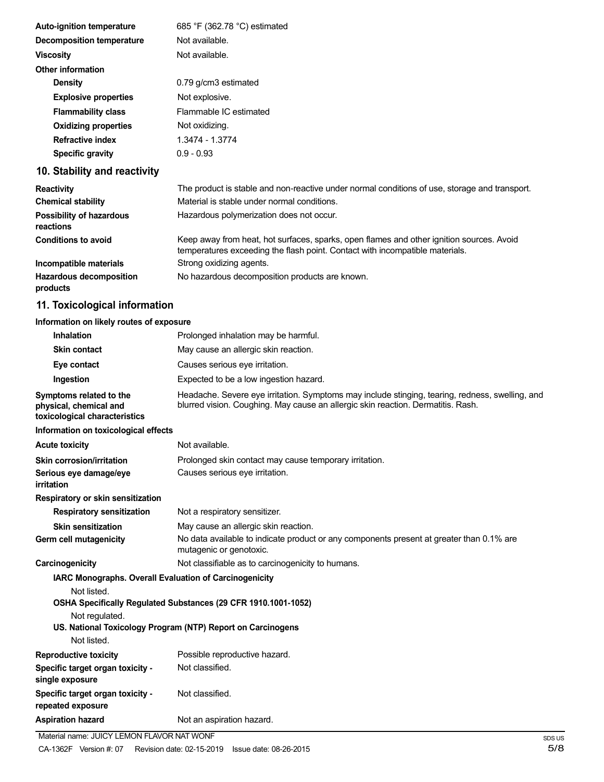| <b>Auto-ignition temperature</b> | 685 °F (362.78 °C) estimated                                                               |
|----------------------------------|--------------------------------------------------------------------------------------------|
| <b>Decomposition temperature</b> | Not available.                                                                             |
| <b>Viscosity</b>                 | Not available.                                                                             |
| <b>Other information</b>         |                                                                                            |
| <b>Density</b>                   | 0.79 g/cm3 estimated                                                                       |
| <b>Explosive properties</b>      | Not explosive.                                                                             |
| <b>Flammability class</b>        | Flammable IC estimated                                                                     |
| <b>Oxidizing properties</b>      | Not oxidizing.                                                                             |
| <b>Refractive index</b>          | 1.3474 - 1.3774                                                                            |
| Specific gravity                 | $0.9 - 0.93$                                                                               |
| 10. Stability and reactivity     |                                                                                            |
| <b>Reactivity</b>                | The product is stable and non-reactive under normal conditions of use, storage and transpo |

| <b>Reactivity</b>                            | The product is stable and non-reactive under normal conditions of use, storage and transport.                                                                            |
|----------------------------------------------|--------------------------------------------------------------------------------------------------------------------------------------------------------------------------|
| <b>Chemical stability</b>                    | Material is stable under normal conditions.                                                                                                                              |
| <b>Possibility of hazardous</b><br>reactions | Hazardous polymerization does not occur.                                                                                                                                 |
| <b>Conditions to avoid</b>                   | Keep away from heat, hot surfaces, sparks, open flames and other ignition sources. Avoid<br>temperatures exceeding the flash point. Contact with incompatible materials. |
| Incompatible materials                       | Strong oxidizing agents.                                                                                                                                                 |
| <b>Hazardous decomposition</b><br>nyadu ata  | No hazardous decomposition products are known.                                                                                                                           |

# **products**

# **11. Toxicological information**

# **Information on likely routes of exposure**

| <b>Inhalation</b>                                                                  | Prolonged inhalation may be harmful.                                                                                                                                                |
|------------------------------------------------------------------------------------|-------------------------------------------------------------------------------------------------------------------------------------------------------------------------------------|
| <b>Skin contact</b>                                                                | May cause an allergic skin reaction.                                                                                                                                                |
| Eye contact                                                                        | Causes serious eye irritation.                                                                                                                                                      |
| Ingestion                                                                          | Expected to be a low ingestion hazard.                                                                                                                                              |
| Symptoms related to the<br>physical, chemical and<br>toxicological characteristics | Headache. Severe eye irritation. Symptoms may include stinging, tearing, redness, swelling, and<br>blurred vision. Coughing. May cause an allergic skin reaction. Dermatitis. Rash. |
| Information on toxicological effects                                               |                                                                                                                                                                                     |
| <b>Acute toxicity</b>                                                              | Not available.                                                                                                                                                                      |
| Skin corrosion/irritation                                                          | Prolonged skin contact may cause temporary irritation.                                                                                                                              |
| Serious eye damage/eye<br>irritation                                               | Causes serious eye irritation.                                                                                                                                                      |
| Respiratory or skin sensitization                                                  |                                                                                                                                                                                     |
| <b>Respiratory sensitization</b>                                                   | Not a respiratory sensitizer.                                                                                                                                                       |
| <b>Skin sensitization</b>                                                          | May cause an allergic skin reaction.                                                                                                                                                |
| Germ cell mutagenicity                                                             | No data available to indicate product or any components present at greater than 0.1% are<br>mutagenic or genotoxic.                                                                 |
| Carcinogenicity                                                                    | Not classifiable as to carcinogenicity to humans.                                                                                                                                   |
| IARC Monographs. Overall Evaluation of Carcinogenicity                             |                                                                                                                                                                                     |
| Not listed.                                                                        |                                                                                                                                                                                     |
|                                                                                    | OSHA Specifically Regulated Substances (29 CFR 1910.1001-1052)                                                                                                                      |
| Not regulated.                                                                     | US. National Toxicology Program (NTP) Report on Carcinogens                                                                                                                         |
| Not listed.                                                                        |                                                                                                                                                                                     |
| <b>Reproductive toxicity</b>                                                       | Possible reproductive hazard.                                                                                                                                                       |
| Specific target organ toxicity -<br>single exposure                                | Not classified.                                                                                                                                                                     |
| Specific target organ toxicity -<br>repeated exposure                              | Not classified.                                                                                                                                                                     |
| <b>Aspiration hazard</b>                                                           | Not an aspiration hazard.                                                                                                                                                           |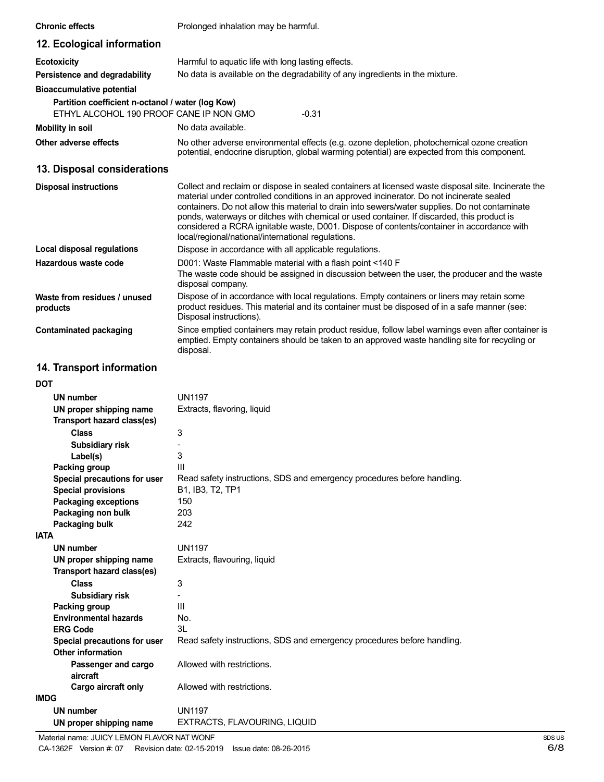| <b>Chronic effects</b>                                                                       | Prolonged inhalation may be harmful.                                                                                                                                                                                                                                                                                                                                                                                                                                                                                                                |
|----------------------------------------------------------------------------------------------|-----------------------------------------------------------------------------------------------------------------------------------------------------------------------------------------------------------------------------------------------------------------------------------------------------------------------------------------------------------------------------------------------------------------------------------------------------------------------------------------------------------------------------------------------------|
| 12. Ecological information                                                                   |                                                                                                                                                                                                                                                                                                                                                                                                                                                                                                                                                     |
| <b>Ecotoxicity</b>                                                                           | Harmful to aquatic life with long lasting effects.                                                                                                                                                                                                                                                                                                                                                                                                                                                                                                  |
| Persistence and degradability                                                                | No data is available on the degradability of any ingredients in the mixture.                                                                                                                                                                                                                                                                                                                                                                                                                                                                        |
| <b>Bioaccumulative potential</b>                                                             |                                                                                                                                                                                                                                                                                                                                                                                                                                                                                                                                                     |
| Partition coefficient n-octanol / water (log Kow)<br>ETHYL ALCOHOL 190 PROOF CANE IP NON GMO | $-0.31$                                                                                                                                                                                                                                                                                                                                                                                                                                                                                                                                             |
| <b>Mobility in soil</b>                                                                      | No data available.                                                                                                                                                                                                                                                                                                                                                                                                                                                                                                                                  |
| Other adverse effects                                                                        | No other adverse environmental effects (e.g. ozone depletion, photochemical ozone creation<br>potential, endocrine disruption, global warming potential) are expected from this component.                                                                                                                                                                                                                                                                                                                                                          |
| 13. Disposal considerations                                                                  |                                                                                                                                                                                                                                                                                                                                                                                                                                                                                                                                                     |
| <b>Disposal instructions</b>                                                                 | Collect and reclaim or dispose in sealed containers at licensed waste disposal site. Incinerate the<br>material under controlled conditions in an approved incinerator. Do not incinerate sealed<br>containers. Do not allow this material to drain into sewers/water supplies. Do not contaminate<br>ponds, waterways or ditches with chemical or used container. If discarded, this product is<br>considered a RCRA ignitable waste, D001. Dispose of contents/container in accordance with<br>local/regional/national/international regulations. |
| <b>Local disposal regulations</b>                                                            | Dispose in accordance with all applicable regulations.                                                                                                                                                                                                                                                                                                                                                                                                                                                                                              |
| Hazardous waste code                                                                         | D001: Waste Flammable material with a flash point <140 F<br>The waste code should be assigned in discussion between the user, the producer and the waste<br>disposal company.                                                                                                                                                                                                                                                                                                                                                                       |
| Waste from residues / unused<br>products                                                     | Dispose of in accordance with local regulations. Empty containers or liners may retain some<br>product residues. This material and its container must be disposed of in a safe manner (see:<br>Disposal instructions).                                                                                                                                                                                                                                                                                                                              |
| <b>Contaminated packaging</b>                                                                | Since emptied containers may retain product residue, follow label warnings even after container is<br>emptied. Empty containers should be taken to an approved waste handling site for recycling or<br>disposal.                                                                                                                                                                                                                                                                                                                                    |
| 14. Transport information                                                                    |                                                                                                                                                                                                                                                                                                                                                                                                                                                                                                                                                     |
| DOT                                                                                          |                                                                                                                                                                                                                                                                                                                                                                                                                                                                                                                                                     |
| <b>UN number</b>                                                                             | <b>UN1197</b>                                                                                                                                                                                                                                                                                                                                                                                                                                                                                                                                       |
| UN proper shipping name<br>Transport hazard class(es)                                        | Extracts, flavoring, liquid                                                                                                                                                                                                                                                                                                                                                                                                                                                                                                                         |
| Class                                                                                        | 3                                                                                                                                                                                                                                                                                                                                                                                                                                                                                                                                                   |
| <b>Subsidiary risk</b>                                                                       |                                                                                                                                                                                                                                                                                                                                                                                                                                                                                                                                                     |
| Label(s)                                                                                     | 3                                                                                                                                                                                                                                                                                                                                                                                                                                                                                                                                                   |
| Packing group                                                                                | Ш<br>Read safety instructions, SDS and emergency procedures before handling.                                                                                                                                                                                                                                                                                                                                                                                                                                                                        |
| Special precautions for user<br><b>Special provisions</b>                                    | B1, IB3, T2, TP1                                                                                                                                                                                                                                                                                                                                                                                                                                                                                                                                    |
| <b>Packaging exceptions</b>                                                                  | 150                                                                                                                                                                                                                                                                                                                                                                                                                                                                                                                                                 |
| Packaging non bulk                                                                           | 203                                                                                                                                                                                                                                                                                                                                                                                                                                                                                                                                                 |
| <b>Packaging bulk</b>                                                                        | 242                                                                                                                                                                                                                                                                                                                                                                                                                                                                                                                                                 |
| <b>IATA</b>                                                                                  |                                                                                                                                                                                                                                                                                                                                                                                                                                                                                                                                                     |
| <b>UN number</b>                                                                             | <b>UN1197</b>                                                                                                                                                                                                                                                                                                                                                                                                                                                                                                                                       |
| UN proper shipping name                                                                      | Extracts, flavouring, liquid                                                                                                                                                                                                                                                                                                                                                                                                                                                                                                                        |

Read safety instructions, SDS and emergency procedures before handling.

UN1197

3 - III No. 3L

Allowed with restrictions.

Allowed with restrictions.

**Transport hazard class(es)**

**Subsidiary risk**

**Environmental hazards**

**Special precautions for user**

**Passenger and cargo**

**Cargo aircraft only**

**Class**

**Packing group**

**Other information**

**aircraft**

**UN number**

**ERG Code**

**IMDG**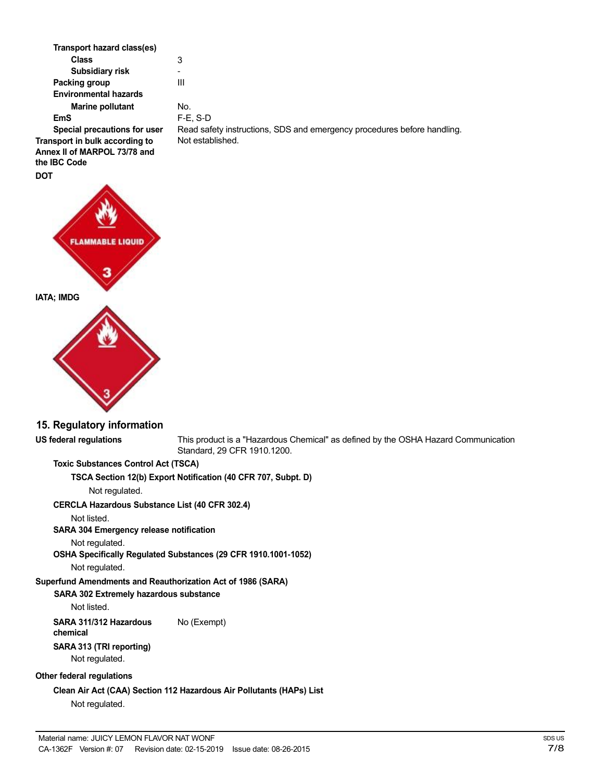| Transport hazard class(es)                                                     |                                                                         |
|--------------------------------------------------------------------------------|-------------------------------------------------------------------------|
| Class                                                                          | 3                                                                       |
| Subsidiary risk                                                                |                                                                         |
| Packing group                                                                  | Ш                                                                       |
| <b>Environmental hazards</b>                                                   |                                                                         |
| <b>Marine pollutant</b>                                                        | No.                                                                     |
| <b>EmS</b>                                                                     | $F-E$ , S-D                                                             |
| Special precautions for user                                                   | Read safety instructions, SDS and emergency procedures before handling. |
| Transport in bulk according to<br>Annex II of MARPOL 73/78 and<br>the IBC Code | Not established.                                                        |
| <b>DOT</b>                                                                     |                                                                         |



### **15. Regulatory information**

**US federal regulations** This product is a "Hazardous Chemical" as defined by the OSHA Hazard Communication Standard, 29 CFR 1910.1200.

## **Toxic Substances Control Act (TSCA)**

#### **TSCA Section 12(b) Export Notification (40 CFR 707, Subpt. D)**

Not regulated.

## **CERCLA Hazardous Substance List (40 CFR 302.4)**

Not listed.

## **SARA 304 Emergency release notification**

Not regulated.

**OSHA Specifically Regulated Substances (29 CFR 1910.1001-1052)**

Not regulated.

# **Superfund Amendments and Reauthorization Act of 1986 (SARA)**

# **SARA 302 Extremely hazardous substance**

Not listed.

# **SARA 311/312 Hazardous** No (Exempt)

**chemical**

#### **SARA 313 (TRI reporting)** Not regulated.

**Other federal regulations**

**Clean Air Act (CAA) Section 112 Hazardous Air Pollutants (HAPs) List** Not regulated.